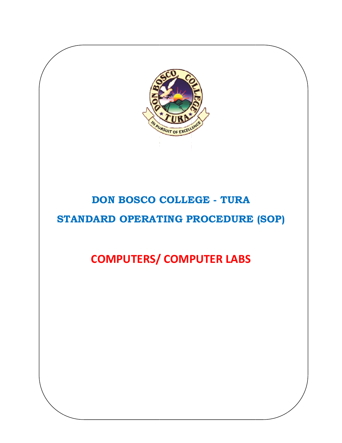

# **DON BOSCO COLLEGE - TURA**

### **STANDARD OPERATING PROCEDURE (SOP)**

## **COMPUTERS/ COMPUTER LABS**